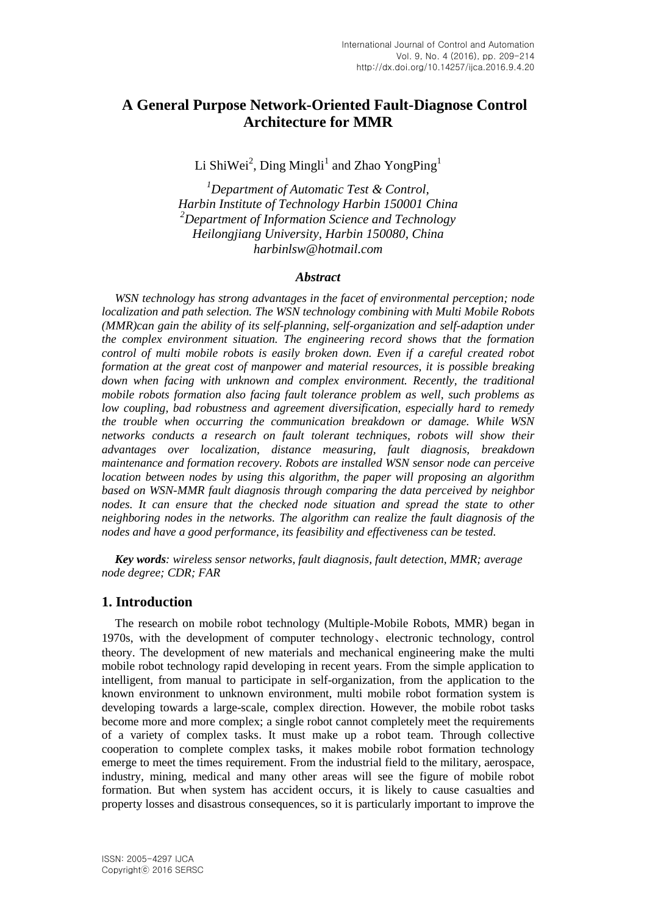# **A General Purpose Network-Oriented Fault-Diagnose Control Architecture for MMR**

Li ShiWei<sup>2</sup>, Ding Mingli<sup>1</sup> and Zhao YongPing<sup>1</sup>

*<sup>1</sup>Department of Automatic Test & Control, Harbin Institute of Technology Harbin 150001 China <sup>2</sup>Department of Information Science and Technology Heilongjiang University, Harbin 150080, China harbinlsw@hotmail.com*

#### *Abstract*

*WSN technology has strong advantages in the facet of environmental perception; node localization and path selection. The WSN technology combining with Multi Mobile Robots (MMR)can gain the ability of its self-planning, self-organization and self-adaption under the complex environment situation. The engineering record shows that the formation control of multi mobile robots is easily broken down. Even if a careful created robot formation at the great cost of manpower and material resources, it is possible breaking down when facing with unknown and complex environment. Recently, the traditional mobile robots formation also facing fault tolerance problem as well, such problems as low coupling, bad robustness and agreement diversification, especially hard to remedy the trouble when occurring the communication breakdown or damage. While WSN networks conducts a research on fault tolerant techniques, robots will show their advantages over localization, distance measuring, fault diagnosis, breakdown maintenance and formation recovery. Robots are installed WSN sensor node can perceive location between nodes by using this algorithm, the paper will proposing an algorithm based on WSN-MMR fault diagnosis through comparing the data perceived by neighbor nodes. It can ensure that the checked node situation and spread the state to other neighboring nodes in the networks. The algorithm can realize the fault diagnosis of the nodes and have a good performance, its feasibility and effectiveness can be tested.*

*Key words: wireless sensor networks, fault diagnosis, fault detection, MMR; average node degree; CDR; FAR*

## **1. Introduction**

The research on mobile robot technology (Multiple-Mobile Robots, MMR) began in 1970s, with the development of computer technology、electronic technology, control theory. The development of new materials and mechanical engineering make the multi mobile robot technology rapid developing in recent years. From the simple application to intelligent, from manual to participate in self-organization, from the application to the known environment to unknown environment, multi mobile robot formation system is developing towards a large-scale, complex direction. However, the mobile robot tasks become more and more complex; a single robot cannot completely meet the requirements of a variety of complex tasks. It must make up a robot team. Through collective cooperation to complete complex tasks, it makes mobile robot formation technology emerge to meet the times requirement. From the industrial field to the military, aerospace, industry, mining, medical and many other areas will see the figure of mobile robot formation. But when system has accident occurs, it is likely to cause casualties and property losses and disastrous consequences, so it is particularly important to improve the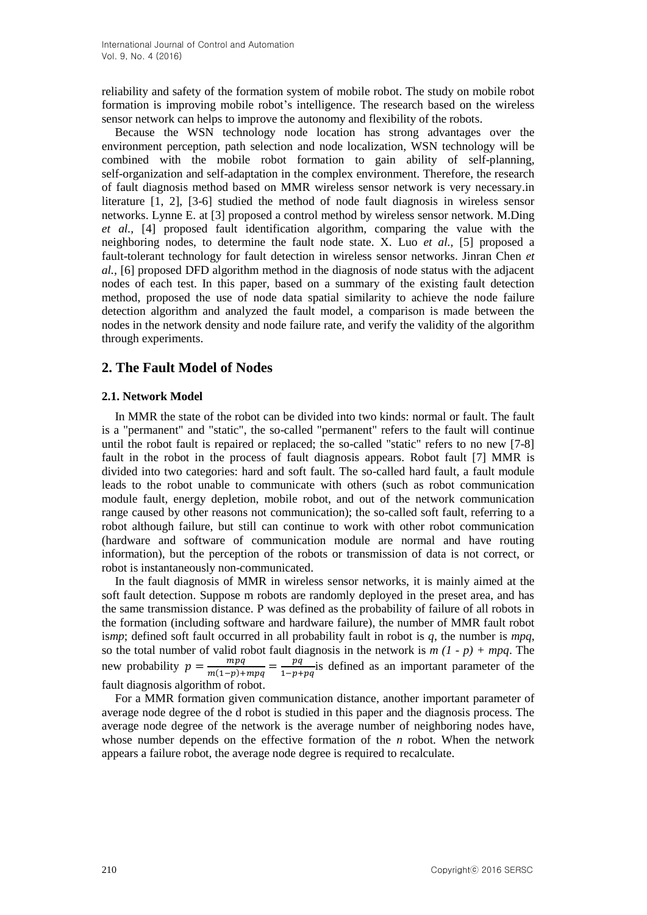reliability and safety of the formation system of mobile robot. The study on mobile robot formation is improving mobile robot's intelligence. The research based on the wireless sensor network can helps to improve the autonomy and flexibility of the robots.

Because the WSN technology node location has strong advantages over the environment perception, path selection and node localization, WSN technology will be combined with the mobile robot formation to gain ability of self-planning, self-organization and self-adaptation in the complex environment. Therefore, the research of fault diagnosis method based on MMR wireless sensor network is very necessary.in literature [1, 2], [3-6] studied the method of node fault diagnosis in wireless sensor networks. Lynne E. at [3] proposed a control method by wireless sensor network. M.Ding *et al.,* [4] proposed fault identification algorithm, comparing the value with the neighboring nodes, to determine the fault node state. X. Luo *et al.,* [5] proposed a fault-tolerant technology for fault detection in wireless sensor networks. Jinran Chen *et al.,* [6] proposed DFD algorithm method in the diagnosis of node status with the adjacent nodes of each test. In this paper, based on a summary of the existing fault detection method, proposed the use of node data spatial similarity to achieve the node failure detection algorithm and analyzed the fault model, a comparison is made between the nodes in the network density and node failure rate, and verify the validity of the algorithm through experiments.

# **2. The Fault Model of Nodes**

#### **2.1. Network Model**

In MMR the state of the robot can be divided into two kinds: normal or fault. The fault is a "permanent" and "static", the so-called "permanent" refers to the fault will continue until the robot fault is repaired or replaced; the so-called "static" refers to no new [7-8] fault in the robot in the process of fault diagnosis appears. Robot fault [7] MMR is divided into two categories: hard and soft fault. The so-called hard fault, a fault module leads to the robot unable to communicate with others (such as robot communication module fault, energy depletion, mobile robot, and out of the network communication range caused by other reasons not communication); the so-called soft fault, referring to a robot although failure, but still can continue to work with other robot communication (hardware and software of communication module are normal and have routing information), but the perception of the robots or transmission of data is not correct, or robot is instantaneously non-communicated.

In the fault diagnosis of MMR in wireless sensor networks, it is mainly aimed at the soft fault detection. Suppose m robots are randomly deployed in the preset area, and has the same transmission distance. P was defined as the probability of failure of all robots in the formation (including software and hardware failure), the number of MMR fault robot is*mp*; defined soft fault occurred in all probability fault in robot is *q*, the number is *mpq*, so the total number of valid robot fault diagnosis in the network is  $m(1 - p) + mpq$ . The new probability  $p = \frac{mpq}{\ln(4-p)}$  $\frac{mpq}{m(1-p)+mpq} = \frac{pq}{1-p+q}$  $\frac{pq}{1-p+pq}$  is defined as an important parameter of the fault diagnosis algorithm of robot.

For a MMR formation given communication distance, another important parameter of average node degree of the d robot is studied in this paper and the diagnosis process. The average node degree of the network is the average number of neighboring nodes have, whose number depends on the effective formation of the *n* robot. When the network appears a failure robot, the average node degree is required to recalculate.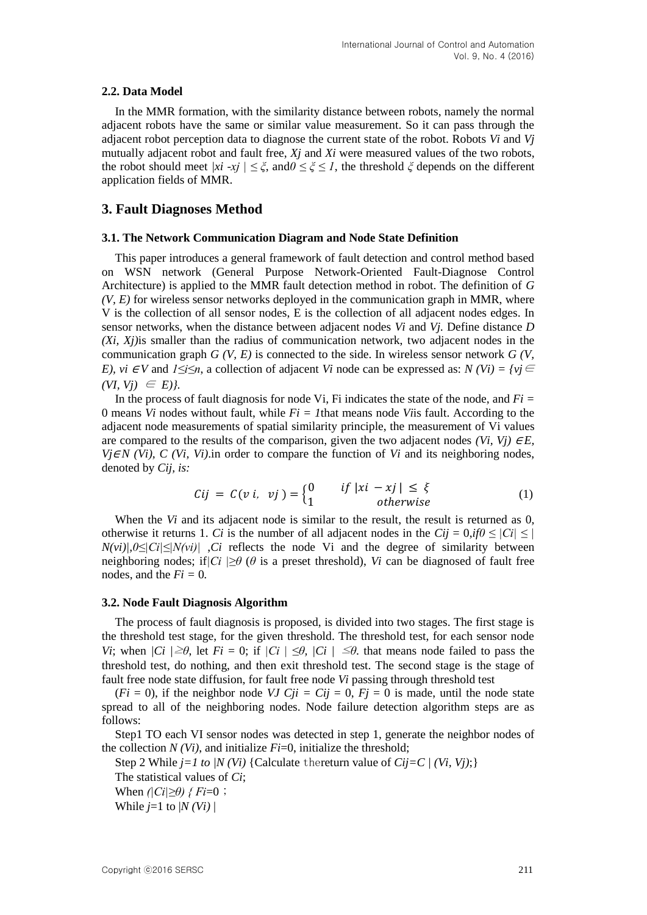#### **2.2. Data Model**

In the MMR formation, with the similarity distance between robots, namely the normal adjacent robots have the same or similar value measurement. So it can pass through the adjacent robot perception data to diagnose the current state of the robot. Robots *Vi* and *Vj* mutually adjacent robot and fault free, *Xj* and *Xi* were measured values of the two robots, the robot should meet *|xi -xj*  $| \leq \xi$ , and $0 \leq \xi \leq I$ , the threshold  $\xi$  depends on the different application fields of MMR.

### **3. Fault Diagnoses Method**

#### **3.1. The Network Communication Diagram and Node State Definition**

This paper introduces a general framework of fault detection and control method based on WSN network (General Purpose Network-Oriented Fault-Diagnose Control Architecture) is applied to the MMR fault detection method in robot. The definition of *G (V, E)* for wireless sensor networks deployed in the communication graph in MMR, where V is the collection of all sensor nodes, E is the collection of all adjacent nodes edges. In sensor networks, when the distance between adjacent nodes *Vi* and *Vj.* Define distance *D (Xi, Xj)*is smaller than the radius of communication network, two adjacent nodes in the communication graph *G (V, E)* is connected to the side. In wireless sensor network *G (V, E), vi*  $\in$  *V* and *1≤i≤n*, a collection of adjacent *Vi* node can be expressed as: *N* (*Vi*) = {*vi*  $\in$  $(VI, Vi) \in E$ ).

In the process of fault diagnosis for node Vi, Fi indicates the state of the node, and *Fi =* 0 means *Vi* nodes without fault, while *Fi = 1*that means node *Vi*is fault. According to the adjacent node measurements of spatial similarity principle, the measurement of Vi values are compared to the results of the comparison, given the two adjacent nodes *(Vi, Vj)*  $\in E$ , *Vj∈N (Vi), C (Vi, Vi).in order to compare the function of <i>Vi* and its neighboring nodes, denoted by *Cij, is:*

$$
Cij = C(v i, vj) = \begin{cases} 0 & if |xi - xj| \le \xi \\ 1 & otherwise \end{cases}
$$
 (1)

When the *Vi* and its adjacent node is similar to the result, the result is returned as 0, otherwise it returns 1. *Ci* is the number of all adjacent nodes in the  $Cij = 0$ ,  $i/0 \leq |Ci| \leq 1$  $N(vi)/0 \leq |C_i| \leq |N(vi)|$  *Ci* reflects the node Vi and the degree of similarity between neighboring nodes; if  $|C_i| \geq \theta$  ( $\theta$  is a preset threshold), *Vi* can be diagnosed of fault free nodes, and the  $Fi = 0$ .

#### **3.2. Node Fault Diagnosis Algorithm**

The process of fault diagnosis is proposed, is divided into two stages. The first stage is the threshold test stage, for the given threshold. The threshold test, for each sensor node *Vi*; when  $|Ci| \geq \theta$ , let  $Fi = 0$ ; if  $|Ci| \leq \theta$ ,  $|Ci| \leq \theta$ . that means node failed to pass the threshold test, do nothing, and then exit threshold test. The second stage is the stage of fault free node state diffusion, for fault free node *Vi* passing through threshold test

 $(Fi = 0)$ , if the neighbor node *VJ Cji* = *Cij* = 0,  $Fj = 0$  is made, until the node state spread to all of the neighboring nodes. Node failure detection algorithm steps are as follows:

Step1 TO each VI sensor nodes was detected in step 1, generate the neighbor nodes of the collection  $N(V_i)$ , and initialize  $Fi=0$ , initialize the threshold;

Step 2 While  $j=1$  to  $/N$  (Vi) {Calculate thereturn value of  $Cij=C/(Vi, Vi)$ ;} The statistical values of *Ci*; When  $\left|\left|C_i\right|\geq\theta\right|$  { Fi=0 ;

While  $j=1$  to  $|N(Vi)|$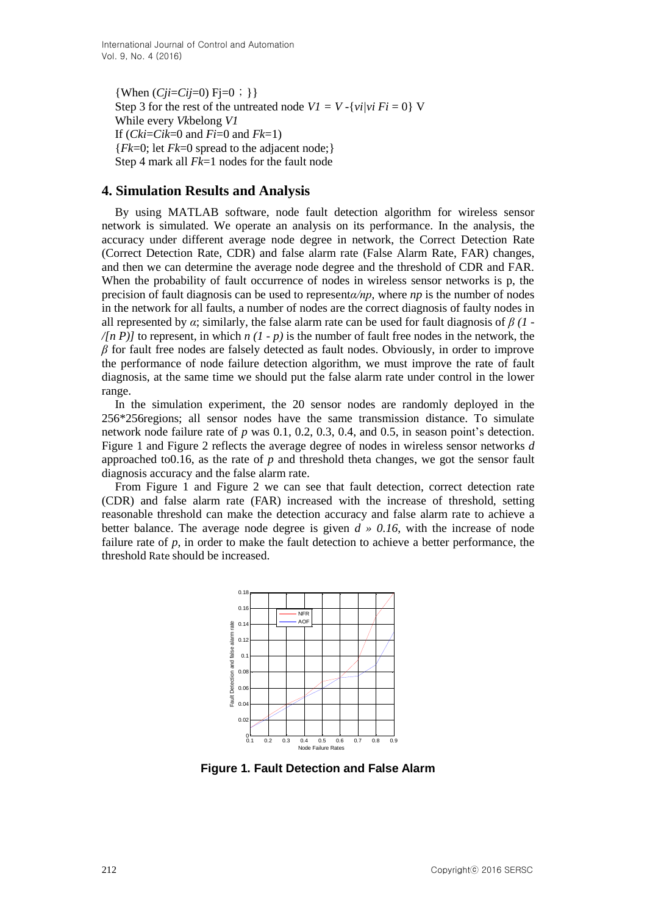{When  $(Cji=Cij=0)$  Fi=0; }} Step 3 for the rest of the untreated node  $VI = V - \{v_i/v_i\}$   $Fi = 0$  *V* While every *Vk*belong *V1* If (*Cki*=*Cik*=0 and *Fi*=0 and *Fk*=1) {*Fk*=0; let *Fk*=0 spread to the adjacent node;} Step 4 mark all *Fk*=1 nodes for the fault node

# **4. Simulation Results and Analysis**

By using MATLAB software, node fault detection algorithm for wireless sensor network is simulated. We operate an analysis on its performance. In the analysis, the accuracy under different average node degree in network, the Correct Detection Rate (Correct Detection Rate, CDR) and false alarm rate (False Alarm Rate, FAR) changes, and then we can determine the average node degree and the threshold of CDR and FAR. When the probability of fault occurrence of nodes in wireless sensor networks is p, the precision of fault diagnosis can be used to represent*α/np*, where *np* is the number of nodes in the network for all faults, a number of nodes are the correct diagnosis of faulty nodes in all represented by  $\alpha$ ; similarly, the false alarm rate can be used for fault diagnosis of  $\beta$  (1 - $\sqrt{(n P)}$  to represent, in which *n*  $(1-p)$  is the number of fault free nodes in the network, the *β* for fault free nodes are falsely detected as fault nodes. Obviously, in order to improve the performance of node failure detection algorithm, we must improve the rate of fault diagnosis, at the same time we should put the false alarm rate under control in the lower range.

In the simulation experiment, the 20 sensor nodes are randomly deployed in the 256\*256regions; all sensor nodes have the same transmission distance. To simulate network node failure rate of *p* was 0.1, 0.2, 0.3, 0.4, and 0.5, in season point's detection. Figure 1 and Figure 2 reflects the average degree of nodes in wireless sensor networks *d* approached to0.16, as the rate of *p* and threshold theta changes, we got the sensor fault diagnosis accuracy and the false alarm rate.

From Figure 1 and Figure 2 we can see that fault detection, correct detection rate (CDR) and false alarm rate (FAR) increased with the increase of threshold, setting reasonable threshold can make the detection accuracy and false alarm rate to achieve a better balance. The average node degree is given  $d \times 0.16$ , with the increase of node failure rate of *p*, in order to make the fault detection to achieve a better performance, the threshold Rate should be increased.



**Figure 1. Fault Detection and False Alarm**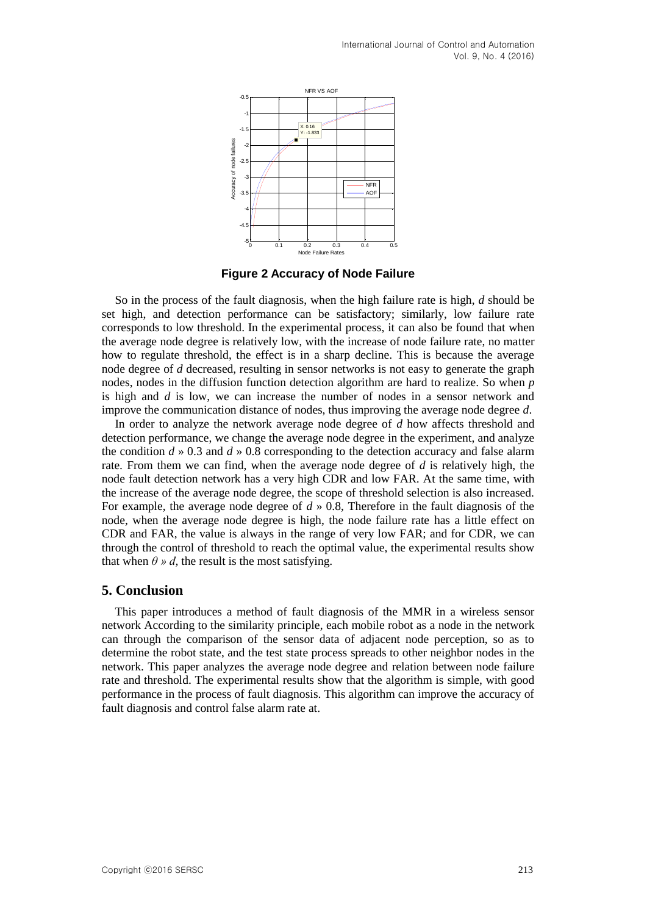

**Figure 2 Accuracy of Node Failure**

So in the process of the fault diagnosis, when the high failure rate is high, *d* should be set high, and detection performance can be satisfactory; similarly, low failure rate corresponds to low threshold. In the experimental process, it can also be found that when the average node degree is relatively low, with the increase of node failure rate, no matter how to regulate threshold, the effect is in a sharp decline. This is because the average node degree of *d* decreased, resulting in sensor networks is not easy to generate the graph nodes, nodes in the diffusion function detection algorithm are hard to realize. So when *p* is high and *d* is low, we can increase the number of nodes in a sensor network and improve the communication distance of nodes, thus improving the average node degree *d*.

In order to analyze the network average node degree of *d* how affects threshold and detection performance, we change the average node degree in the experiment, and analyze the condition *d* » 0.3 and *d* » 0.8 corresponding to the detection accuracy and false alarm rate. From them we can find, when the average node degree of *d* is relatively high, the node fault detection network has a very high CDR and low FAR. At the same time, with the increase of the average node degree, the scope of threshold selection is also increased. For example, the average node degree of *d* » 0.8, Therefore in the fault diagnosis of the node, when the average node degree is high, the node failure rate has a little effect on CDR and FAR, the value is always in the range of very low FAR; and for CDR, we can through the control of threshold to reach the optimal value, the experimental results show that when  $\theta \gg d$ , the result is the most satisfying.

### **5. Conclusion**

This paper introduces a method of fault diagnosis of the MMR in a wireless sensor network According to the similarity principle, each mobile robot as a node in the network can through the comparison of the sensor data of adjacent node perception, so as to determine the robot state, and the test state process spreads to other neighbor nodes in the network. This paper analyzes the average node degree and relation between node failure rate and threshold. The experimental results show that the algorithm is simple, with good performance in the process of fault diagnosis. This algorithm can improve the accuracy of fault diagnosis and control false alarm rate at.